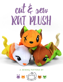# cut & sew rat plush

**a sewing pattern by**

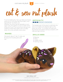cut & sew rat plush of sewing TUTORIAL



**2**

If you're reading this, then you likely purchased some of my Cut & Sew Rat Plush fabric from Spoonflower. So thank you!

Whether you think rats are adorable or excitingly scary, this pattern is sure to make something you'll love! The instructions here go over making a sweet little rodent with a chubby body, curvy tail, and belly-down pose.

### **makes:**

One plush: about 3" tall, 4" wide, and 8" long (not including ears and tail)

## **difficulty:**  3 8 8 8 8 8 8 8

The hardest part of this plush is definitely the neck, as it needs to be aligned right so the body can lie flat. Try to baste the head with big stitches first before sewing it properly with neat and tight stitches.

### **skills used:**

- Basting
- Darts
- Ladder stitch
- Sewing curves



// ©2017 Choly Knight // Items sewn using this pattern may be sold. Credit to "Choly Knight" or "Sew Desu Ne?" is appreciated.<br>You may not reproduce, share, freely distribute, or sell this pattern as your own in digital or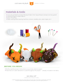

# **materials & tools:**

- your pre-printed Cut & Sew Rat plush fabric from Spoonflower (at least one fat quarter)
- sewing thread to match fabrics
- poly-fil stuffing
- basic sewing tools (sewing machine, scissors, needles, pins, seam ripper, etc.)



### **before you begin:**

- Briefly read the project instructions so you know what to expect.
- Note that a 1⁄4" seam allowance is used throughout the project -- already included in the fabric.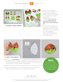cut & sew rat plush  $\overline{A}$  sewing tutorial







**4**

a. Grab your printed Spoonflower cut & sew fabric. If you ordered ¼ yd. of minky or fleece, it should include all the pieces needed (surrounded by a border).

There should be 12 pieces included: **head front (1), head back (2), ears (4), belly (1), tail (2), and back (2).**

**b.** If you're new to sewing, you might want to wait until the applicable step before cutting your fabric so you can refer to the notes and labels. Once you need a piece, cut it out along the dotted lines outside the shape.



- **a.** Cut out your **HEAD FRONT** piece. Locate the open wedges found on the top and bottom of the shape -- these are the darts. To sew them, start by folding the front piece in half along the point of the dart and match up the slanted lines that make the wedge shape.
- **b.** Sew the darts by starting at the opening and moving down to the point.
- c. When sewing the point, try to blend the seam in with the fold so it makes a smooth transition and a rounder finished plush.

### **darts:** A wedge-shaped gap found in a pattern. When sewn in fabric, it creates a tuck in the fabric and develops a 3D shape. The diagonal sides of the wedge are the **legs**; these are matched up and sewn **to the POINT** of the day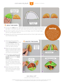$cut &$  sew rat plush  $\overline{S}$  sewing tutorial







**5**

- a. Take this time to find the small *fold guidelines* printed on the ear fabric. Use it as a guide to fold the ear with inner ear fabrics facing.
- **b.** Baste the ear along the open edge to hold the fold in place. Repeat with the other ear so you have a mirrored pair.
- c. If you haven't already, locate the *ear placement colored*  **bands** printed on the **HEAD front** fabric. Place the open end of the ear within these placement

bands. The folds of the ears should be pointing toward the center.

d. Baste the ears to the head front within the seam allowances to hold them in place for future steps.

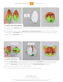



- **a.** Cut out the two **HEAD BACK** pieces. Align them together with right sides facing and raw edges matching up.
- **b.** If you haven't already, locate the **opening for turning colored band** printed on the fabric. Sew along this edge of the **head back** pieces only, but be sure to leave the opening for turning that is marked.
- c. Open up your **head back** piece.



- a. Grab the **head front** piece you have so far. Align it with the **head back** with right sides facing. Be sure the top of the back pieces (marked with a circle symbol) are aligned with the top of the front piece. The *back seam* should also match up with the *top and bottom dart* on the front.
- **b.** Sew around the perimeter of the head completely.
- **c.** Turn the head right side out through the opening you left in the back.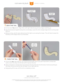



- a. Cut out your **tail** pieces. Align them with right sides facing and raw edges matching up.
- **b.** Sew the tail pieces together along the curved edge. Leave the short straight edge free for turning right side out.
- c. Before turning, clip the seam allowance at the tight curves along the shape. This will help increase the flexibility of the shape when it's turned later.



- a. To turn the TAIL right side out, you could use hemostats. But if you don't have them, a straw also works. Insert the straw into the tail until it reaches the end.
- **b.** Take a chopstick or similar blunt tool and push the tip of the tail into the straw. Continue pushing as the straw comes out and the tail will begin to turn right side out.
- c. Keep going all the way until the tail is completely turned.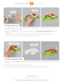



- a. The tail doesn't absolutely need stuffing, but if you like the look of it, stuff the tail at this time. Hemostats make the job much easier.
- b. Cut out your **back** pieces. If you haven't already, locate the *tail placement colored band* printed on the fabric.

Align the open end of the tail within the colored band. Be sure the tip is curling up as shown.

c. Baste the tail to the back within the seam allowance at this point.



- a. Grab your remaining **back** piece and align it over the first, lining up the edge that you've just attached the tail to.
- **b.** Sew the back pieces together along this edge only.
- c. Turn the back right side out. The tail should be successfully sandwiched in between.

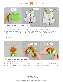cut & sew rat plush on SEWING TUTORIAL





- **a.** Cut out your **BELLY** piece. Open up your back pieces from the previous step. Align the open back pieces over the belly, matching up the small arms and legs and the spaces in between.
- b. Sew the back to the belly around the arms, legs, and tail end. Leave the neck at the top free for turning the body right side out. For best results, be sure to pivot at the spots between the arms, legs, and neck.
- c. Clip the seam allowances at the corners you've just sewn to increase flexibility when the body is turned next.



- a. Turn the whole body right side out.
- **b.** Stuff the body by starting with the front legs and back legs. Make sure they are full before moving on.
- c. Finally, move onto filling the rest of the body with stuffing. Once complete there should be no wrinkles in the fabric.

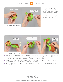cut & sew rat plush 10 sewing TUTORIAL





13. **stuff the head**



- a. Stuff the head firmly with stuffing. Focus most of it on the nose area until it fills out and has no wrinkles in the fabric.
- **b.** After the nose looks full, fill the rest of the head.



- a. Align the opening in the head over the opening in the neck. The neck opening is larger than the head opening, so arrange them so the neck opening covers the head opening. This is what we'll be stitching next. If you wish, you can draw a stitching line on the head to guide yourself.
- **b.** Thread a hand-sewing needle and knot it at the end. Insert the needle from the inside of the upper head opening and out. This will leave the knot inside the plush.
- c. Bring the head to the body and take another stitch into the neck along the back seam. This begins joining the head to the body.